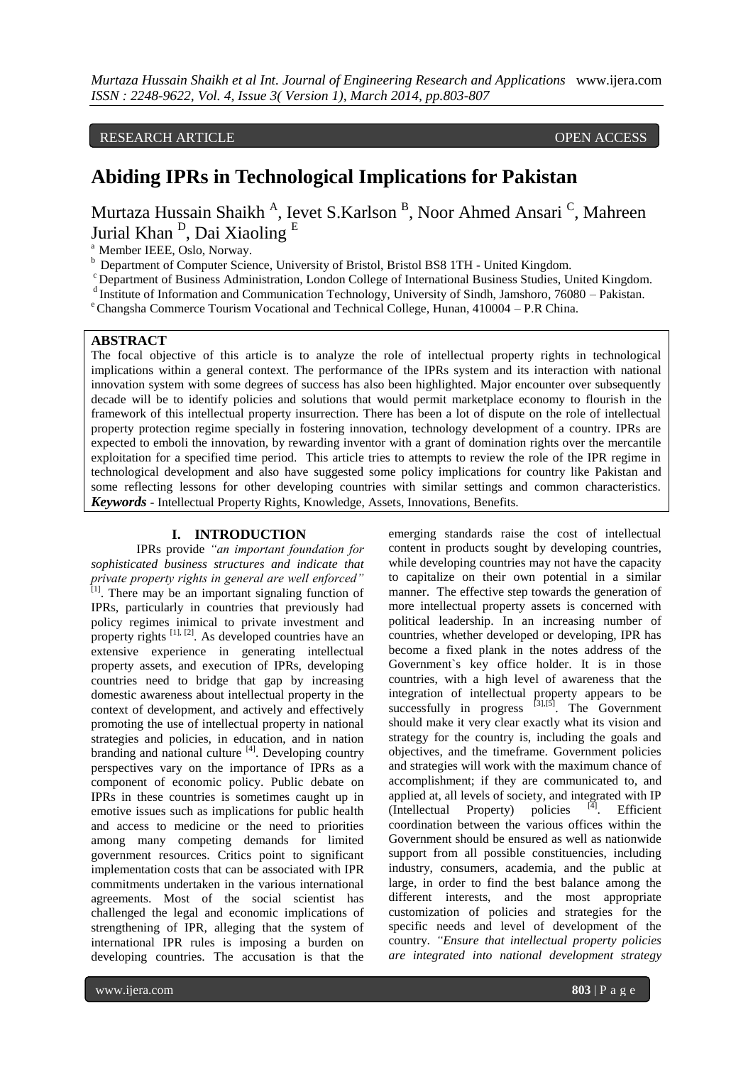RESEARCH ARTICLE **CONTRACT ARTICLE** And the contract of the contract of the contract of the contract of the contract of the contract of the contract of the contract of the contract of the contract of the contract of the co

# **Abiding IPRs in Technological Implications for Pakistan**

Murtaza Hussain Shaikh <sup>A</sup>, Ievet S.Karlson <sup>B</sup>, Noor Ahmed Ansari <sup>C</sup>, Mahreen Jurial Khan <sup>D</sup>, Dai Xiaoling <sup>E</sup>

<sup>a</sup> Member IEEE, Oslo, Norway.

<sup>b</sup> Department of Computer Science, University of Bristol, Bristol BS8 1TH - United Kingdom.

<sup>c</sup> Department of Business Administration, London College of International Business Studies, United Kingdom.

<sup>d</sup> Institute of Information and Communication Technology, University of Sindh, Jamshoro, 76080 – Pakistan.

 $\textdegree$ Changsha Commerce Tourism Vocational and Technical College, Hunan, 410004 – P.R China.

## **ABSTRACT**

The focal objective of this article is to analyze the role of intellectual property rights in technological implications within a general context. The performance of the IPRs system and its interaction with national innovation system with some degrees of success has also been highlighted. Major encounter over subsequently decade will be to identify policies and solutions that would permit marketplace economy to flourish in the framework of this intellectual property insurrection. There has been a lot of dispute on the role of intellectual property protection regime specially in fostering innovation, technology development of a country. IPRs are expected to emboli the innovation, by rewarding inventor with a grant of domination rights over the mercantile exploitation for a specified time period. This article tries to attempts to review the role of the IPR regime in technological development and also have suggested some policy implications for country like Pakistan and some reflecting lessons for other developing countries with similar settings and common characteristics. *Keywords* **-** Intellectual Property Rights, Knowledge, Assets, Innovations, Benefits.

## **I. INTRODUCTION**

IPRs provide *"an important foundation for sophisticated business structures and indicate that private property rights in general are well enforced"* [1]. There may be an important signaling function of IPRs, particularly in countries that previously had policy regimes inimical to private investment and property rights <sup>[1], [2]</sup>. As developed countries have an extensive experience in generating intellectual property assets, and execution of IPRs, developing countries need to bridge that gap by increasing domestic awareness about intellectual property in the context of development, and actively and effectively promoting the use of intellectual property in national strategies and policies, in education, and in nation branding and national culture [4]. Developing country perspectives vary on the importance of IPRs as a component of economic policy. Public debate on IPRs in these countries is sometimes caught up in emotive issues such as implications for public health and access to medicine or the need to priorities among many competing demands for limited government resources. Critics point to significant implementation costs that can be associated with IPR commitments undertaken in the various international agreements. Most of the social scientist has challenged the legal and economic implications of strengthening of IPR, alleging that the system of international IPR rules is imposing a burden on developing countries. The accusation is that the

emerging standards raise the cost of intellectual content in products sought by developing countries, while developing countries may not have the capacity to capitalize on their own potential in a similar manner. The effective step towards the generation of more intellectual property assets is concerned with political leadership. In an increasing number of countries, whether developed or developing, IPR has become a fixed plank in the notes address of the Government`s key office holder. It is in those countries, with a high level of awareness that the integration of intellectual property appears to be successfully in progress  $[3]$ , $[5]$ . The Government should make it very clear exactly what its vision and strategy for the country is, including the goals and objectives, and the timeframe. Government policies and strategies will work with the maximum chance of accomplishment; if they are communicated to, and applied at, all levels of society, and integrated with IP (Intellectual Property) policies  $\left[4\right]$ . Efficient coordination between the various offices within the Government should be ensured as well as nationwide support from all possible constituencies, including industry, consumers, academia, and the public at large, in order to find the best balance among the different interests, and the most appropriate customization of policies and strategies for the specific needs and level of development of the country. *"Ensure that intellectual property policies are integrated into national development strategy*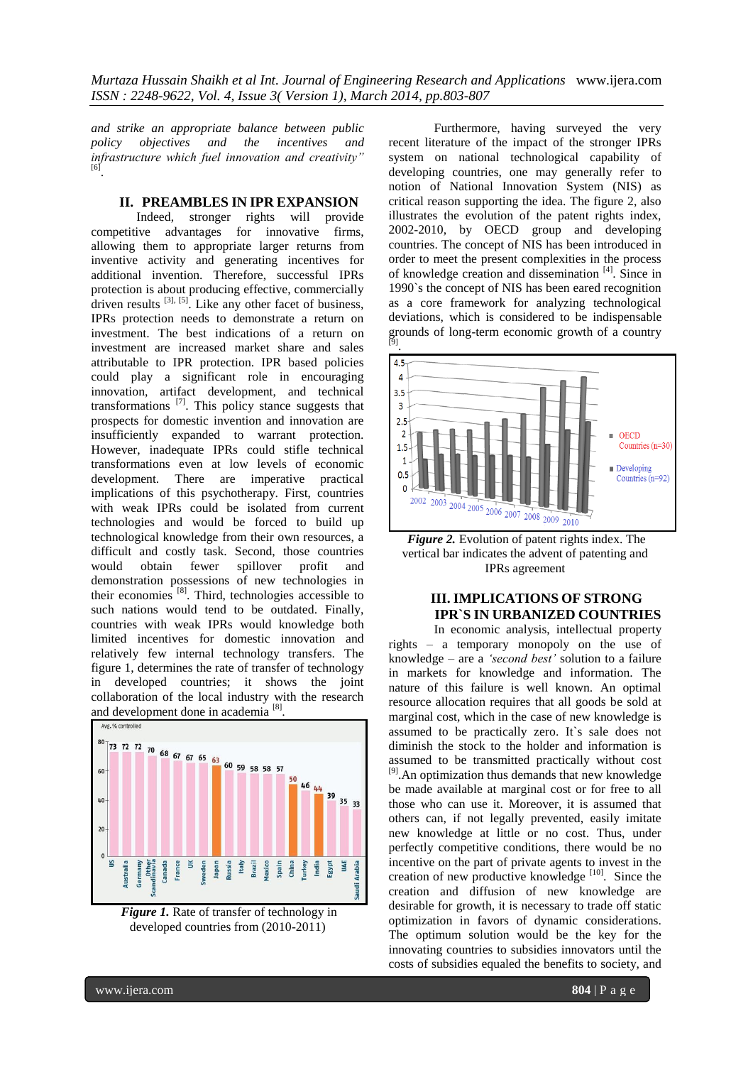*Murtaza Hussain Shaikh et al Int. Journal of Engineering Research and Applications* www.ijera.com *ISSN : 2248-9622, Vol. 4, Issue 3( Version 1), March 2014, pp.803-807*

*and strike an appropriate balance between public policy objectives and the incentives and infrastructure which fuel innovation and creativity"* [6] .

## **II. PREAMBLES IN IPR EXPANSION**

Indeed, stronger rights will provide competitive advantages for innovative firms, allowing them to appropriate larger returns from inventive activity and generating incentives for additional invention. Therefore, successful IPRs protection is about producing effective, commercially driven results  $^{[3], [5]}$ . Like any other facet of business, IPRs protection needs to demonstrate a return on investment. The best indications of a return on investment are increased market share and sales attributable to IPR protection. IPR based policies could play a significant role in encouraging innovation, artifact development, and technical transformations  $^{[7]}$ . This policy stance suggests that prospects for domestic invention and innovation are insufficiently expanded to warrant protection. However, inadequate IPRs could stifle technical transformations even at low levels of economic development. There are imperative practical implications of this psychotherapy. First, countries with weak IPRs could be isolated from current technologies and would be forced to build up technological knowledge from their own resources, a difficult and costly task. Second, those countries would obtain fewer spillover profit and demonstration possessions of new technologies in their economies  $[8]$ . Third, technologies accessible to such nations would tend to be outdated. Finally, countries with weak IPRs would knowledge both limited incentives for domestic innovation and relatively few internal technology transfers. The figure 1, determines the rate of transfer of technology in developed countries; it shows the joint collaboration of the local industry with the research and development done in academia<sup>[8]</sup>.



*Figure 1.* Rate of transfer of technology in developed countries from (2010-2011)

Furthermore, having surveyed the very recent literature of the impact of the stronger IPRs system on national technological capability of developing countries, one may generally refer to notion of National Innovation System (NIS) as critical reason supporting the idea. The figure 2, also illustrates the evolution of the patent rights index, 2002-2010, by OECD group and developing countries. The concept of NIS has been introduced in order to meet the present complexities in the process of knowledge creation and dissemination [4]. Since in 1990`s the concept of NIS has been eared recognition as a core framework for analyzing technological deviations, which is considered to be indispensable grounds of long-term economic growth of a country [9] .



*Figure 2.* Evolution of patent rights index. The vertical bar indicates the advent of patenting and IPRs agreement

## **III. IMPLICATIONS OF STRONG IPR`S IN URBANIZED COUNTRIES**

In economic analysis, intellectual property rights – a temporary monopoly on the use of knowledge – are a *"second best"* solution to a failure in markets for knowledge and information. The nature of this failure is well known. An optimal resource allocation requires that all goods be sold at marginal cost, which in the case of new knowledge is assumed to be practically zero. It`s sale does not diminish the stock to the holder and information is assumed to be transmitted practically without cost [9].An optimization thus demands that new knowledge be made available at marginal cost or for free to all those who can use it. Moreover, it is assumed that others can, if not legally prevented, easily imitate new knowledge at little or no cost. Thus, under perfectly competitive conditions, there would be no incentive on the part of private agents to invest in the creation of new productive knowledge  $[10]$ . Since the creation and diffusion of new knowledge are desirable for growth, it is necessary to trade off static optimization in favors of dynamic considerations. The optimum solution would be the key for the innovating countries to subsidies innovators until the costs of subsidies equaled the benefits to society, and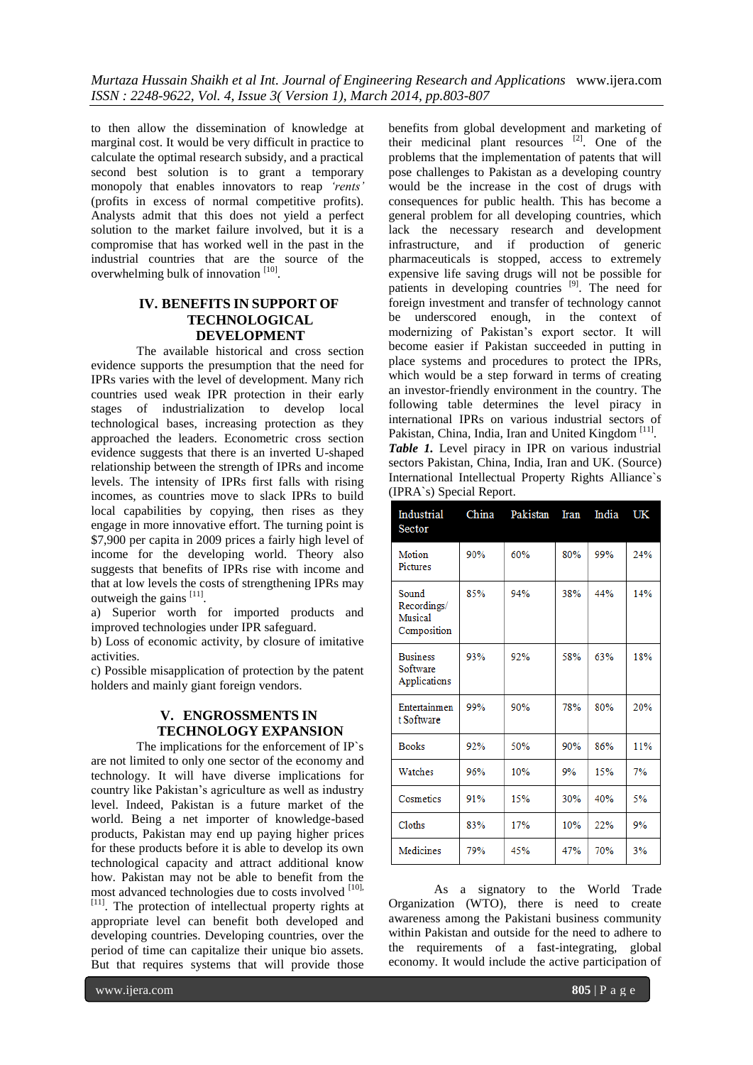to then allow the dissemination of knowledge at marginal cost. It would be very difficult in practice to calculate the optimal research subsidy, and a practical second best solution is to grant a temporary monopoly that enables innovators to reap *"rents"* (profits in excess of normal competitive profits). Analysts admit that this does not yield a perfect solution to the market failure involved, but it is a compromise that has worked well in the past in the industrial countries that are the source of the overwhelming bulk of innovation [10].

## **IV. BENEFITS IN SUPPORT OF TECHNOLOGICAL DEVELOPMENT**

The available historical and cross section evidence supports the presumption that the need for IPRs varies with the level of development. Many rich countries used weak IPR protection in their early stages of industrialization to develop local technological bases, increasing protection as they approached the leaders. Econometric cross section evidence suggests that there is an inverted U-shaped relationship between the strength of IPRs and income levels. The intensity of IPRs first falls with rising incomes, as countries move to slack IPRs to build local capabilities by copying, then rises as they engage in more innovative effort. The turning point is \$7,900 per capita in 2009 prices a fairly high level of income for the developing world. Theory also suggests that benefits of IPRs rise with income and that at low levels the costs of strengthening IPRs may outweigh the gains [11].

a) Superior worth for imported products and improved technologies under IPR safeguard.

b) Loss of economic activity, by closure of imitative activities.

c) Possible misapplication of protection by the patent holders and mainly giant foreign vendors.

## **V. ENGROSSMENTS IN TECHNOLOGY EXPANSION**

The implications for the enforcement of IP`s are not limited to only one sector of the economy and technology. It will have diverse implications for country like Pakistan's agriculture as well as industry level. Indeed, Pakistan is a future market of the world. Being a net importer of knowledge-based products, Pakistan may end up paying higher prices for these products before it is able to develop its own technological capacity and attract additional know how. Pakistan may not be able to benefit from the most advanced technologies due to costs involved [10], [11]. The protection of intellectual property rights at appropriate level can benefit both developed and developing countries. Developing countries, over the period of time can capitalize their unique bio assets. But that requires systems that will provide those

benefits from global development and marketing of their medicinal plant resources <sup>[2]</sup>. One of the problems that the implementation of patents that will pose challenges to Pakistan as a developing country would be the increase in the cost of drugs with consequences for public health. This has become a general problem for all developing countries, which lack the necessary research and development infrastructure, and if production of generic pharmaceuticals is stopped, access to extremely expensive life saving drugs will not be possible for patients in developing countries <sup>[9]</sup>. The need for foreign investment and transfer of technology cannot be underscored enough, in the context of modernizing of Pakistan's export sector. It will become easier if Pakistan succeeded in putting in place systems and procedures to protect the IPRs, which would be a step forward in terms of creating an investor-friendly environment in the country. The following table determines the level piracy in international IPRs on various industrial sectors of Pakistan, China, India, Iran and United Kingdom<sup>[11]</sup>. *Table 1.* Level piracy in IPR on various industrial sectors Pakistan, China, India, Iran and UK. (Source) International Intellectual Property Rights Alliance`s (IPRA`s) Special Report.

| Industrial<br>Sector                           | China | Pakistan | Iran | India | UK  |
|------------------------------------------------|-------|----------|------|-------|-----|
| Motion<br>Pictures                             | 90%   | 60%      | 80%  | 99%   | 24% |
| Sound<br>Recordings/<br>Musical<br>Composition | 85%   | 94%      | 38%  | 44%   | 14% |
| <b>Business</b><br>Software<br>Applications    | 93%   | 92%      | 58%  | 63%   | 18% |
| Entertainmen<br>t Software                     | 99%   | 90%      | 78%  | 80%   | 20% |
| <b>Books</b>                                   | 92%   | 50%      | 90%  | 86%   | 11% |
| Watches                                        | 96%   | 10%      | 9%   | 15%   | 7%  |
| Cosmetics                                      | 91%   | 15%      | 30%  | 40%   | 5%  |
| Cloths                                         | 83%   | 17%      | 10%  | 22%   | 9%  |
| Medicines                                      | 79%   | 45%      | 47%  | 70%   | 3%  |

As a signatory to the World Trade Organization (WTO), there is need to create awareness among the Pakistani business community within Pakistan and outside for the need to adhere to the requirements of a fast-integrating, global economy. It would include the active participation of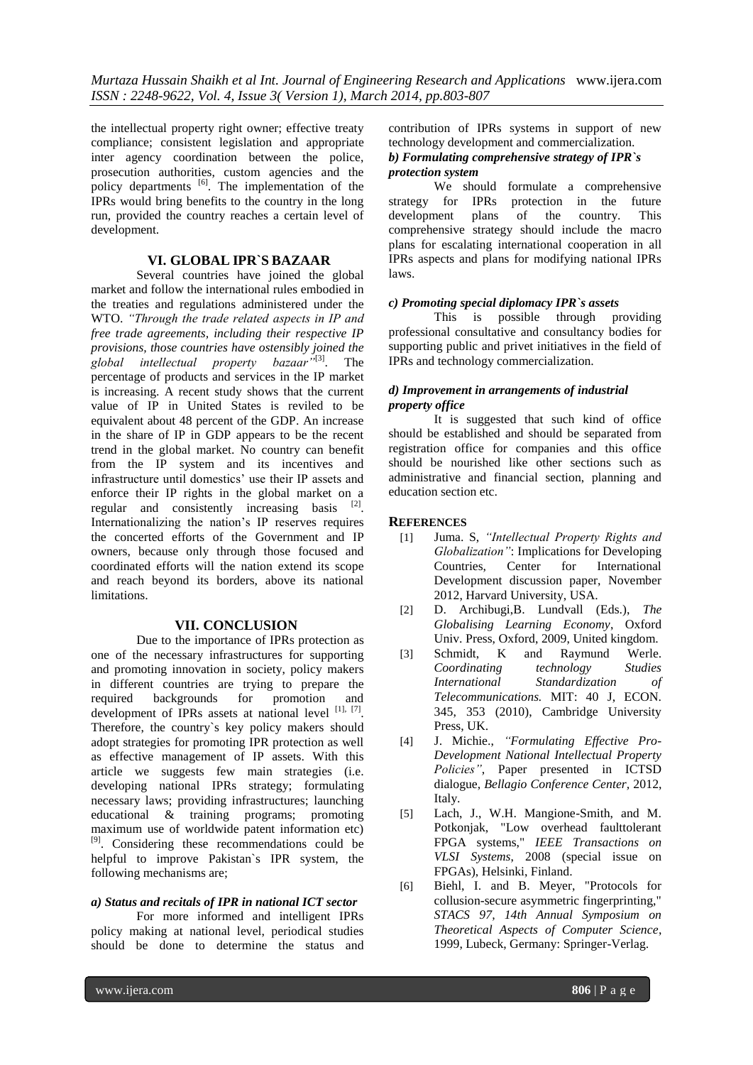the intellectual property right owner; effective treaty compliance; consistent legislation and appropriate inter agency coordination between the police, prosecution authorities, custom agencies and the policy departments <sup>[6]</sup>. The implementation of the IPRs would bring benefits to the country in the long run, provided the country reaches a certain level of development.

## **VI. GLOBAL IPR`S BAZAAR**

Several countries have joined the global market and follow the international rules embodied in the treaties and regulations administered under the WTO. *"Through the trade related aspects in IP and free trade agreements, including their respective IP provisions, those countries have ostensibly joined the global intellectual property bazaar"*[3]. The percentage of products and services in the IP market is increasing. A recent study shows that the current value of IP in United States is reviled to be equivalent about 48 percent of the GDP. An increase in the share of IP in GDP appears to be the recent trend in the global market. No country can benefit from the IP system and its incentives and infrastructure until domestics' use their IP assets and enforce their IP rights in the global market on a regular and consistently increasing basis  $[2]$ . Internationalizing the nation's IP reserves requires the concerted efforts of the Government and IP owners, because only through those focused and coordinated efforts will the nation extend its scope and reach beyond its borders, above its national limitations.

## **VII. CONCLUSION**

Due to the importance of IPRs protection as one of the necessary infrastructures for supporting and promoting innovation in society, policy makers in different countries are trying to prepare the required backgrounds for promotion and development of IPRs assets at national level  $^{[1], [7]}$ . Therefore, the country`s key policy makers should adopt strategies for promoting IPR protection as well as effective management of IP assets. With this article we suggests few main strategies (i.e. developing national IPRs strategy; formulating necessary laws; providing infrastructures; launching educational & training programs; promoting maximum use of worldwide patent information etc) <sup>[9]</sup>. Considering these recommendations could be helpful to improve Pakistan`s IPR system, the following mechanisms are;

## *a) Status and recitals of IPR in national ICT sector*

For more informed and intelligent IPRs policy making at national level, periodical studies should be done to determine the status and

contribution of IPRs systems in support of new technology development and commercialization. *b) Formulating comprehensive strategy of IPR`s* 

## *protection system*

We should formulate a comprehensive strategy for IPRs protection in the future<br>development plans of the country. This plans of the country. This comprehensive strategy should include the macro plans for escalating international cooperation in all IPRs aspects and plans for modifying national IPRs laws.

#### *c) Promoting special diplomacy IPR`s assets*

This is possible through providing professional consultative and consultancy bodies for supporting public and privet initiatives in the field of IPRs and technology commercialization.

#### *d) Improvement in arrangements of industrial property office*

It is suggested that such kind of office should be established and should be separated from registration office for companies and this office should be nourished like other sections such as administrative and financial section, planning and education section etc.

## **REFERENCES**

- [1] Juma. S, *"Intellectual Property Rights and Globalization"*: Implications for Developing Countries, Center for International Development discussion paper, November 2012, Harvard University, USA.
- [2] D. Archibugi,B. Lundvall (Eds.), *The Globalising Learning Economy*, Oxford Univ. Press, Oxford, 2009, United kingdom.
- [3] Schmidt, K and Raymund Werle. *Coordinating technology Studies International Standardization of Telecommunications.* MIT: 40 J, ECON. 345, 353 (2010), Cambridge University Press, UK.
- [4] J. Michie., *"Formulating Effective Pro-Development National Intellectual Property Policies"*, Paper presented in ICTSD dialogue, *Bellagio Conference Center,* 2012, Italy.
- [5] Lach, J., W.H. Mangione-Smith, and M. Potkonjak, "Low overhead faulttolerant FPGA systems," *IEEE Transactions on VLSI Systems*, 2008 (special issue on FPGAs), Helsinki, Finland.
- [6] Biehl, I. and B. Meyer, "Protocols for collusion-secure asymmetric fingerprinting," *STACS 97, 14th Annual Symposium on Theoretical Aspects of Computer Science*, 1999, Lubeck, Germany: Springer-Verlag.